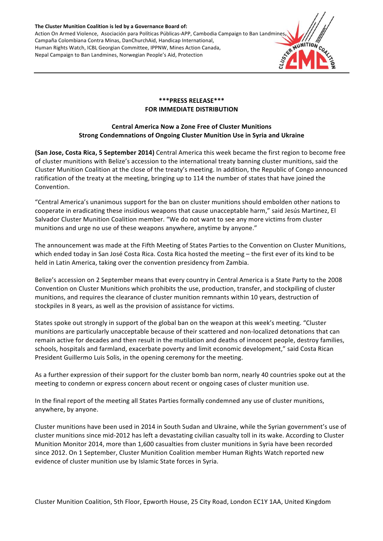The Cluster Munition Coalition is led by a Governance Board of: Action On Armed Violence, Asociación para Políticas Públicas-APP, Cambodia Campaign to Ban Landmines Campaña Colombiana Contra Minas, DanChurchAid, Handicap International, Human Rights Watch, ICBL Georgian Committee, IPPNW, Mines Action Canada, Nepal Campaign to Ban Landmines, Norwegian People's Aid, Protection



# **\*\*\*PRESS RELEASE\*\*\* FOR IMMEDIATE DISTRIBUTION**

# **Central America Now a Zone Free of Cluster Munitions Strong Condemnations of Ongoing Cluster Munition Use in Syria and Ukraine**

**(San Jose, Costa Rica, 5 September 2014)** Central America this week became the first region to become free of cluster munitions with Belize's accession to the international treaty banning cluster munitions, said the Cluster Munition Coalition at the close of the treaty's meeting. In addition, the Republic of Congo announced ratification of the treaty at the meeting, bringing up to 114 the number of states that have joined the Convention. 

"Central America's unanimous support for the ban on cluster munitions should embolden other nations to cooperate in eradicating these insidious weapons that cause unacceptable harm," said Jesús Martinez, El Salvador Cluster Munition Coalition member. "We do not want to see any more victims from cluster munitions and urge no use of these weapons anywhere, anytime by anyone."

The announcement was made at the Fifth Meeting of States Parties to the Convention on Cluster Munitions, which ended today in San José Costa Rica. Costa Rica hosted the meeting – the first ever of its kind to be held in Latin America, taking over the convention presidency from Zambia.

Belize's accession on 2 September means that every country in Central America is a State Party to the 2008 Convention on Cluster Munitions which prohibits the use, production, transfer, and stockpiling of cluster munitions, and requires the clearance of cluster munition remnants within 10 years, destruction of stockpiles in 8 years, as well as the provision of assistance for victims.

States spoke out strongly in support of the global ban on the weapon at this week's meeting. "Cluster munitions are particularly unacceptable because of their scattered and non-localized detonations that can remain active for decades and then result in the mutilation and deaths of innocent people, destroy families, schools, hospitals and farmland, exacerbate poverty and limit economic development," said Costa Rican President Guillermo Luis Solis, in the opening ceremony for the meeting.

As a further expression of their support for the cluster bomb ban norm, nearly 40 countries spoke out at the meeting to condemn or express concern about recent or ongoing cases of cluster munition use.

In the final report of the meeting all States Parties formally condemned any use of cluster munitions, anywhere, by anyone.

Cluster munitions have been used in 2014 in South Sudan and Ukraine, while the Syrian government's use of cluster munitions since mid-2012 has left a devastating civilian casualty toll in its wake. According to Cluster Munition Monitor 2014, more than 1,600 casualties from cluster munitions in Syria have been recorded since 2012. On 1 September, Cluster Munition Coalition member Human Rights Watch reported new evidence of cluster munition use by Islamic State forces in Syria.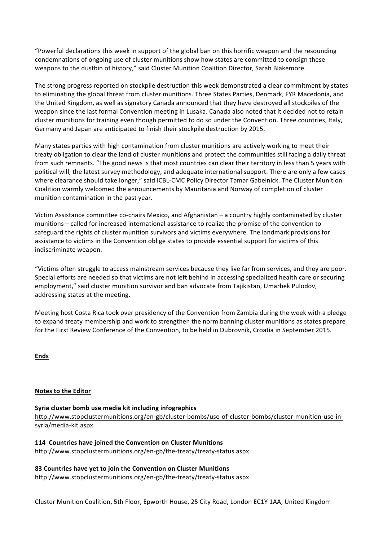"Powerful declarations this week in support of the global ban on this horrific weapon and the resounding condemnations of ongoing use of cluster munitions show how states are committed to consign these weapons to the dustbin of history," said Cluster Munition Coalition Director, Sarah Blakemore.

The strong progress reported on stockpile destruction this week demonstrated a clear commitment by states to eliminating the global threat from cluster munitions. Three States Parties, Denmark, FYR Macedonia, and the United Kingdom, as well as signatory Canada announced that they have destroyed all stockpiles of the weapon since the last formal Convention meeting in Lusaka. Canada also noted that it decided not to retain cluster munitions for training even though permitted to do so under the Convention. Three countries, Italy, Germany and Japan are anticipated to finish their stockpile destruction by 2015.

Many states parties with high contamination from cluster munitions are actively working to meet their treaty obligation to clear the land of cluster munitions and protect the communities still facing a daily threat from such remnants. "The good news is that most countries can clear their territory in less than 5 years with political will, the latest survey methodology, and adequate international support. There are only a few cases where clearance should take longer," said ICBL-CMC Policy Director Tamar Gabelnick. The Cluster Munition Coalition warmly welcomed the announcements by Mauritania and Norway of completion of cluster munition contamination in the past year.

Victim Assistance committee co-chairs Mexico, and Afghanistan - a country highly contaminated by cluster munitions – called for increased international assistance to realize the promise of the convention to safeguard the rights of cluster munition survivors and victims everywhere. The landmark provisions for assistance to victims in the Convention oblige states to provide essential support for victims of this indiscriminate weapon.

"Victims often struggle to access mainstream services because they live far from services, and they are poor. Special efforts are needed so that victims are not left behind in accessing specialized health care or securing employment," said cluster munition survivor and ban advocate from Tajikistan, Umarbek Pulodov, addressing states at the meeting.

Meeting host Costa Rica took over presidency of the Convention from Zambia during the week with a pledge to expand treaty membership and work to strengthen the norm banning cluster munitions as states prepare for the First Review Conference of the Convention, to be held in Dubrovnik, Croatia in September 2015.

**Ends**

# **Notes to the Editor**

Syria cluster bomb use media kit including infographics http://www.stopclustermunitions.org/en-gb/cluster-bombs/use-of-cluster-bombs/cluster-munition-use-insyria/media-kit.aspx

**114 Countries have joined the Convention on Cluster Munitions** http://www.stopclustermunitions.org/en-gb/the-treaty/treaty-status.aspx

**83 Countries have yet to join the Convention on Cluster Munitions** http://www.stopclustermunitions.org/en-gb/the-treaty/treaty-status.aspx

Cluster Munition Coalition, 5th Floor, Epworth House, 25 City Road, London EC1Y 1AA, United Kingdom